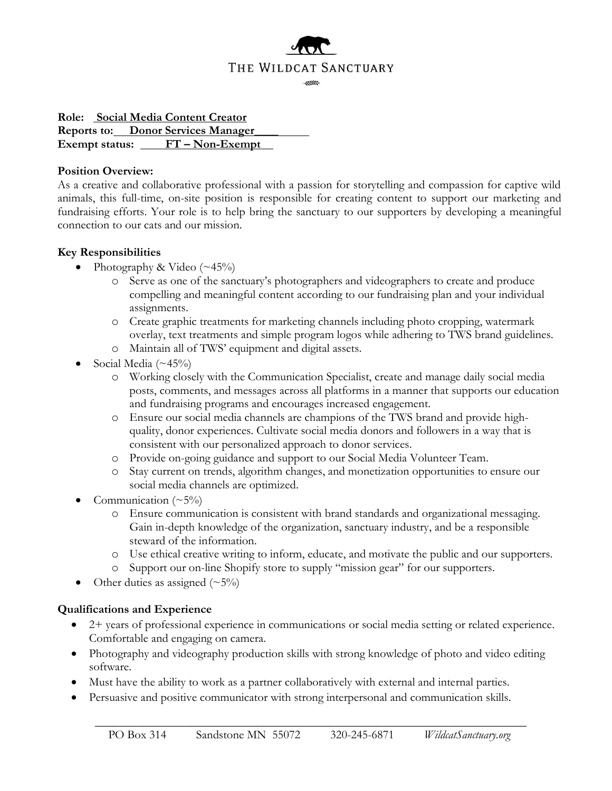

**Role: Social Media Content Creator Reports to: Donor Services Manager\_\_\_\_ Exempt status: FT – Non-Exempt**

#### **Position Overview:**

As a creative and collaborative professional with a passion for storytelling and compassion for captive wild animals, this full-time, on-site position is responsible for creating content to support our marketing and fundraising efforts. Your role is to help bring the sanctuary to our supporters by developing a meaningful connection to our cats and our mission.

### **Key Responsibilities**

- Photography & Video  $(\sim 45\%)$ 
	- o Serve as one of the sanctuary's photographers and videographers to create and produce compelling and meaningful content according to our fundraising plan and your individual assignments.
	- o Create graphic treatments for marketing channels including photo cropping, watermark overlay, text treatments and simple program logos while adhering to TWS brand guidelines.
	- o Maintain all of TWS' equipment and digital assets.
- Social Media  $(\sim 45\%)$ 
	- o Working closely with the Communication Specialist, create and manage daily social media posts, comments, and messages across all platforms in a manner that supports our education and fundraising programs and encourages increased engagement.
	- o Ensure our social media channels are champions of the TWS brand and provide highquality, donor experiences. Cultivate social media donors and followers in a way that is consistent with our personalized approach to donor services.
	- o Provide on-going guidance and support to our Social Media Volunteer Team.
	- o Stay current on trends, algorithm changes, and monetization opportunities to ensure our social media channels are optimized.
- Communication  $(\sim 5\%)$ 
	- o Ensure communication is consistent with brand standards and organizational messaging. Gain in-depth knowledge of the organization, sanctuary industry, and be a responsible steward of the information.
	- o Use ethical creative writing to inform, educate, and motivate the public and our supporters.
	- Support our on-line Shopify store to supply "mission gear" for our supporters.
- Other duties as assigned  $(\sim 5\%)$

### **Qualifications and Experience**

- 2+ years of professional experience in communications or social media setting or related experience. Comfortable and engaging on camera.
- Photography and videography production skills with strong knowledge of photo and video editing software.
- Must have the ability to work as a partner collaboratively with external and internal parties.
- Persuasive and positive communicator with strong interpersonal and communication skills.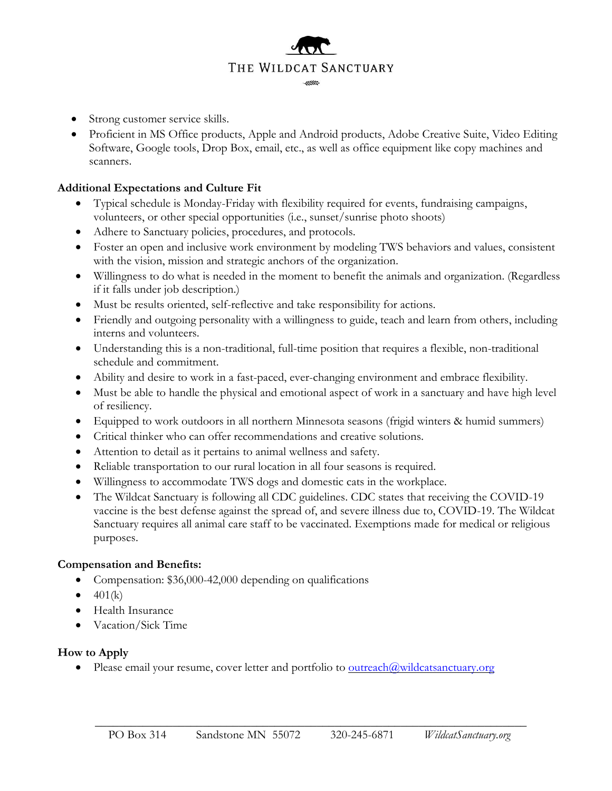# THE WILDCAT SANCTUARY -

- Strong customer service skills.
- Proficient in MS Office products, Apple and Android products, Adobe Creative Suite, Video Editing Software, Google tools, Drop Box, email, etc., as well as office equipment like copy machines and scanners.

## **Additional Expectations and Culture Fit**

- Typical schedule is Monday-Friday with flexibility required for events, fundraising campaigns, volunteers, or other special opportunities (i.e., sunset/sunrise photo shoots)
- Adhere to Sanctuary policies, procedures, and protocols.
- Foster an open and inclusive work environment by modeling TWS behaviors and values, consistent with the vision, mission and strategic anchors of the organization.
- Willingness to do what is needed in the moment to benefit the animals and organization. (Regardless if it falls under job description.)
- Must be results oriented, self-reflective and take responsibility for actions.
- Friendly and outgoing personality with a willingness to guide, teach and learn from others, including interns and volunteers.
- Understanding this is a non-traditional, full-time position that requires a flexible, non-traditional schedule and commitment.
- Ability and desire to work in a fast-paced, ever-changing environment and embrace flexibility.
- Must be able to handle the physical and emotional aspect of work in a sanctuary and have high level of resiliency.
- Equipped to work outdoors in all northern Minnesota seasons (frigid winters & humid summers)
- Critical thinker who can offer recommendations and creative solutions.
- Attention to detail as it pertains to animal wellness and safety.
- Reliable transportation to our rural location in all four seasons is required.
- Willingness to accommodate TWS dogs and domestic cats in the workplace.
- The Wildcat Sanctuary is following all CDC guidelines. CDC states that receiving the COVID-19 vaccine is the best defense against the spread of, and severe illness due to, COVID-19. The Wildcat Sanctuary requires all animal care staff to be vaccinated. Exemptions made for medical or religious purposes.

### **Compensation and Benefits:**

- Compensation: \$36,000-42,000 depending on qualifications
- $\bullet$  401(k)
- Health Insurance
- Vacation/Sick Time

### **How to Apply**

• Please email your resume, cover letter and portfolio to  $\frac{outreach(@wildcatsanctuary.org)}{comcatsanctuary.org}$